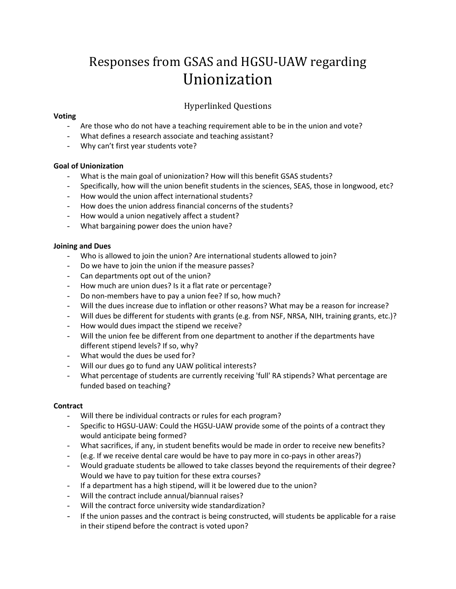# Responses from GSAS and HGSU-UAW regarding Unionization

## Hyperlinked Questions

#### **[Voting](#page-2-0)**

- [Are those who do not have a teaching requirement able to be in the union and vote?](#page-2-1)
- [What defines a research associate and teaching assistant?](#page-2-2)
- [Why can't first year students vote?](#page-3-0)

#### **[Goal of Unionization](#page-3-1)**

- [What is the main goal of unionization? How will this benefit GSAS students?](#page-3-2)
- [Specifically, how will the union benefit students in the sciences, SEAS, those in longwood, etc?](#page-4-0)
- [How would the union affect international students?](#page-4-1)
- [How does the union address financial concerns of the students?](#page-4-2)
- [How would a union negatively affect a student?](#page-5-0)
- [What bargaining power does the union have?](#page-5-1)

#### **[Joining and Dues](#page-6-0)**

- [Who is allowed to join the union? Are international students allowed to join?](#page-6-1)
- [Do we have to join the union if the measure passes?](#page-6-2)
- [Can departments opt out of the union?](#page-7-0)
- [How much are union dues? Is it a flat rate or percentage?](#page-7-1)
- [Do non-members have to pay a union fee? If so, how much?](#page-8-0)
- [Will the dues increase due to inflation or other reasons? What may be a reason for increase?](#page-8-1)
- Will dues be different for students with [grants \(e.g. from NSF, NRSA, NIH, training grants, etc.\)?](#page-8-2)
- [How would dues impact the stipend we receive?](#page-8-3)
- [Will the union fee be different from one department to another if the departments have](#page-9-0)  [different stipend levels? If so, why?](#page-9-0)
- [What would the dues be used for?](#page-9-1)
- [Will our dues go to fund any UAW political interests?](#page-10-0)
- [What percentage of students are currently receiving 'full' RA stipends? What percentage are](#page-10-1)  [funded based on teaching?](#page-10-1)

#### **[Contract](#page-10-2)**

- [Will there be individual contracts or rules for each program?](#page-10-3)
- [Specific to HGSU-UAW: Could the HGSU-UAW provide some of the points of a contract they](#page-11-0)  [would anticipate being formed?](#page-11-0)
- [What sacrifices, if any, in student benefits would be made in order to receive](#page-11-1) new benefits?
- [\(e.g. If we receive dental care would be have to pay more in co-pays in other areas?\)](#page-11-1)
- [Would graduate students be allowed to take classes beyond the requirements of their degree?](#page-11-2)  [Would we have to pay tuition for these extra courses?](#page-11-2)
- [If a department has a high stipend, will it be lowered due to the union?](#page-11-3)
- [Will the contract include annual/biannual raises?](#page-11-4)
- [Will the contract force university wide standardization?](#page-12-0)
- [If the union passes and the contract is being constructed, will students be applicable for a raise](#page-12-1)  [in their stipend before the contract is voted upon?](#page-12-1)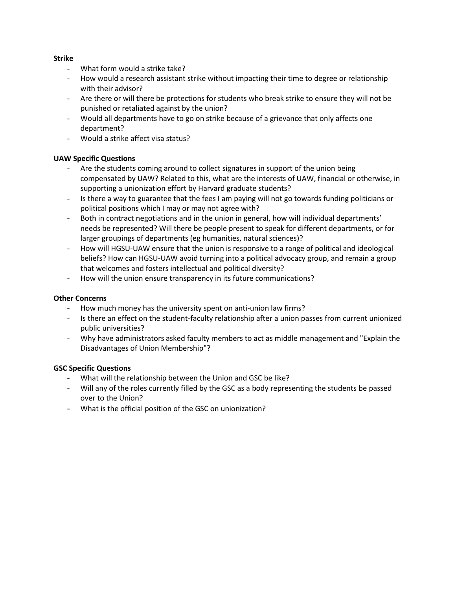#### **[Strike](#page-12-2)**

- [What form would a strike take?](#page-12-3)
- [How would a research assistant strike without impacting their time to degree or relationship](#page-12-4)  [with their advisor?](#page-12-4)
- [Are there or will there be protections for students who break strike to ensure they will not be](#page-12-5)  [punished or retaliated against by the union?](#page-12-5)
- [Would all departments have to go on strike because of a grievance that only affects one](#page-12-6)  [department?](#page-12-6)
- [Would a strike affect visa status?](#page-13-0)

#### **[UAW Specific Questions](#page-13-1)**

- Are the students coming around to collect signatures in support of the union being [compensated by UAW? Related to this, what are the interests of UAW, financial or otherwise, in](#page-13-2)  supporting [a unionization effort by Harvard graduate students?](#page-13-2)
- Is there a way to guarantee that the fees I am paying will not go towards funding politicians or [political positions which I may or may not agree with?](#page-13-3)
- Both in contract negotiations and in the union in general, how will individual departments' [needs be represented? Will there be people present to speak for different departments, or for](#page-14-0)  [larger groupings of departments \(eg humanities, natural sciences\)?](#page-14-0)
- [How will HGSU-UAW ensure that the union is responsive to a range of political and ideological](#page-14-1)  [beliefs? How can HGSU-UAW avoid turning into a political advocacy group, and remain a group](#page-14-1)  [that welcomes and fosters intellectual and political diversity?](#page-14-1)
- [How will the union ensure transparency in its future communications?](#page-14-2)

#### **[Other Concerns](#page-14-3)**

- [How much money has the university spent on anti-union law firms?](#page-14-4)
- [Is there an effect on the student-faculty relationship after a union passes from current unionized](#page-14-5)  [public universities?](#page-14-5)
- [Why have administrators asked faculty members to act as middle management and "Explain the](#page-15-0)  [Disadvantages of Union Membership"?](#page-15-0)

#### **[GSC Specific Questions](#page-16-0)**

- [What will the relationship between the Union and GSC be like?](#page-16-1)
- [Will any of the roles currently filled by the GSC as a body representing the students be passed](#page-16-2)  [over to the Union?](#page-16-2)
- [What is the official position of the GSC on unionization?](#page-16-3)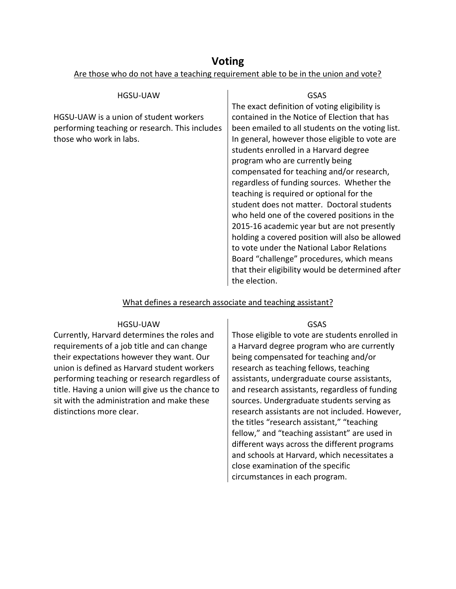## **Voting**

<span id="page-2-0"></span>Are those who do not have a teaching requirement able to be in the union and vote?

<span id="page-2-1"></span>

| HGSU-UAW                                                                                                            | GSAS                                                                                                                                                                                                                                                                                                                                                                                                                                                                                                                                                                                                                                                                                                                                                                                   |
|---------------------------------------------------------------------------------------------------------------------|----------------------------------------------------------------------------------------------------------------------------------------------------------------------------------------------------------------------------------------------------------------------------------------------------------------------------------------------------------------------------------------------------------------------------------------------------------------------------------------------------------------------------------------------------------------------------------------------------------------------------------------------------------------------------------------------------------------------------------------------------------------------------------------|
| HGSU-UAW is a union of student workers<br>performing teaching or research. This includes<br>those who work in labs. | The exact definition of voting eligibility is<br>contained in the Notice of Election that has<br>been emailed to all students on the voting list.<br>In general, however those eligible to vote are<br>students enrolled in a Harvard degree<br>program who are currently being<br>compensated for teaching and/or research,<br>regardless of funding sources. Whether the<br>teaching is required or optional for the<br>student does not matter. Doctoral students<br>who held one of the covered positions in the<br>2015-16 academic year but are not presently<br>holding a covered position will also be allowed<br>to vote under the National Labor Relations<br>Board "challenge" procedures, which means<br>that their eligibility would be determined after<br>the election. |
|                                                                                                                     |                                                                                                                                                                                                                                                                                                                                                                                                                                                                                                                                                                                                                                                                                                                                                                                        |

## What defines a research associate and teaching assistant?

#### HGSU-UAW

<span id="page-2-2"></span>Currently, Harvard determines the roles and requirements of a job title and can change their expectations however they want. Our union is defined as Harvard student workers performing teaching or research regardless of title. Having a union will give us the chance to sit with the administration and make these distinctions more clear.

#### GSAS

Those eligible to vote are students enrolled in a Harvard degree program who are currently being compensated for teaching and/or research as teaching fellows, teaching assistants, undergraduate course assistants, and research assistants, regardless of funding sources. Undergraduate students serving as research assistants are not included. However, the titles "research assistant," "teaching fellow," and "teaching assistant" are used in different ways across the different programs and schools at Harvard, which necessitates a close examination of the specific circumstances in each program.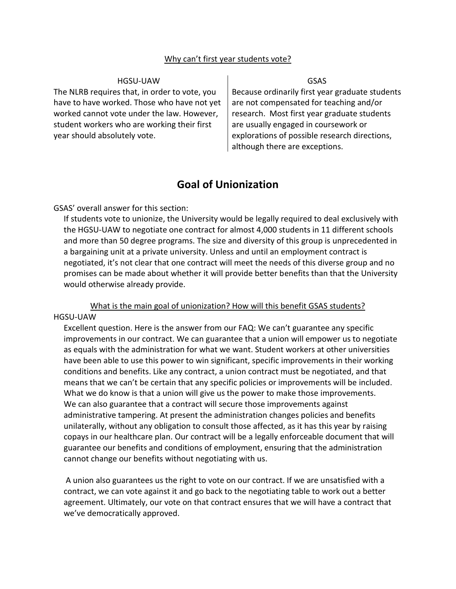#### Why can't first year students vote?

#### HGSU-UAW

<span id="page-3-0"></span>The NLRB requires that, in order to vote, you have to have worked. Those who have not yet worked cannot vote under the law. However, student workers who are working their first year should absolutely vote.

#### GSAS

Because ordinarily first year graduate students are not compensated for teaching and/or research. Most first year graduate students are usually engaged in coursework or explorations of possible research directions, although there are exceptions.

## **Goal of Unionization**

#### <span id="page-3-1"></span>GSAS' overall answer for this section:

If students vote to unionize, the University would be legally required to deal exclusively with the HGSU-UAW to negotiate one contract for almost 4,000 students in 11 different schools and more than 50 degree programs. The size and diversity of this group is unprecedented in a bargaining unit at a private university. Unless and until an employment contract is negotiated, it's not clear that one contract will meet the needs of this diverse group and no promises can be made about whether it will provide better benefits than that the University would otherwise already provide.

<span id="page-3-2"></span>What is the main goal of unionization? How will this benefit GSAS students? HGSU-UAW

Excellent question. Here is the answer from our FAQ: We can't guarantee any specific improvements in our contract. We can guarantee that a union will empower us to negotiate as equals with the administration for what we want. Student workers at other universities have been able to use this power to win significant, specific improvements in their working conditions and benefits. Like any contract, a union contract must be negotiated, and that means that we can't be certain that any specific policies or improvements will be included. What we do know is that a union will give us the power to make those improvements. We can also guarantee that a contract will secure those improvements against administrative tampering. At present the administration changes policies and benefits unilaterally, without any obligation to consult those affected, as it has this year by raising copays in our healthcare plan. Our contract will be a legally enforceable document that will guarantee our benefits and conditions of employment, ensuring that the administration cannot change our benefits without negotiating with us.

A union also guarantees us the right to vote on our contract. If we are unsatisfied with a contract, we can vote against it and go back to the negotiating table to work out a better agreement. Ultimately, our vote on that contract ensures that we will have a contract that we've democratically approved.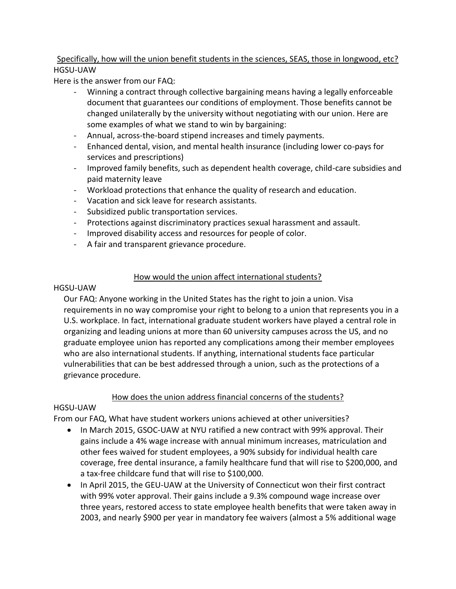## <span id="page-4-0"></span>Specifically, how will the union benefit students in the sciences, SEAS, those in longwood, etc? HGSU-UAW

Here is the answer from our FAQ:

- Winning a contract through collective bargaining means having a legally enforceable document that guarantees our conditions of employment. Those benefits cannot be changed unilaterally by the university without negotiating with our union. Here are some examples of what we stand to win by bargaining:
- Annual, across-the-board stipend increases and timely payments.
- Enhanced dental, vision, and mental health insurance (including lower co-pays for services and prescriptions)
- Improved family benefits, such as dependent health coverage, child-care subsidies and paid maternity leave
- Workload protections that enhance the quality of research and education.
- Vacation and sick leave for research assistants.
- Subsidized public transportation services.
- Protections against discriminatory practices sexual harassment and assault.
- Improved disability access and resources for people of color.
- A fair and transparent grievance procedure.

## How would the union affect international students?

#### <span id="page-4-1"></span>HGSU-UAW

Our FAQ: Anyone working in the United States has the right to join a union. Visa requirements in no way compromise your right to belong to a union that represents you in a U.S. workplace. In fact, international graduate student workers have played a central role in organizing and leading unions at more than 60 university campuses across the US, and no graduate employee union has reported any complications among their member employees who are also international students. If anything, international students face particular vulnerabilities that can be best addressed through a union, such as the protections of a grievance procedure.

## How does the union address financial concerns of the students?

## <span id="page-4-2"></span>HGSU-UAW

From our FAQ, What have student workers unions achieved at other universities?

- In March 2015, GSOC-UAW at NYU ratified a new contract with 99% approval. Their gains include a 4% wage increase with annual minimum increases, matriculation and other fees waived for student employees, a 90% subsidy for individual health care coverage, free dental insurance, a family healthcare fund that will rise to \$200,000, and a tax-free childcare fund that will rise to \$100,000.
- In April 2015, the GEU-UAW at the University of Connecticut won their first contract with 99% voter approval. Their gains include a 9.3% compound wage increase over three years, restored access to state employee health benefits that were taken away in 2003, and nearly \$900 per year in mandatory fee waivers (almost a 5% additional wage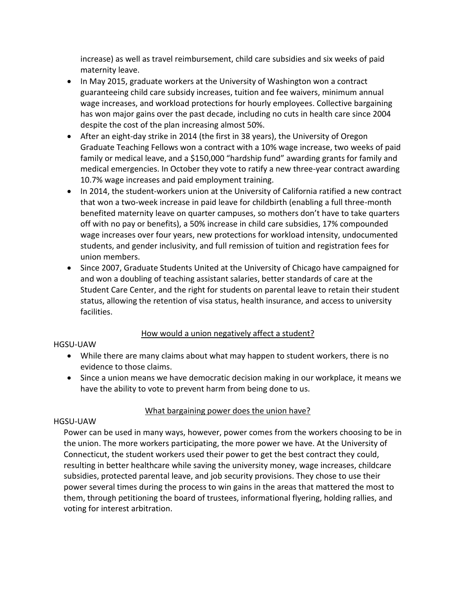increase) as well as travel reimbursement, child care subsidies and six weeks of paid maternity leave.

- In May 2015, graduate workers at the University of Washington won a contract guaranteeing child care subsidy increases, tuition and fee waivers, minimum annual wage increases, and workload protections for hourly employees. Collective bargaining has won major gains over the past decade, including no cuts in health care since 2004 despite the cost of the plan increasing almost 50%.
- After an eight-day strike in 2014 (the first in 38 years), the University of Oregon Graduate Teaching Fellows won a contract with a 10% wage increase, two weeks of paid family or medical leave, and a \$150,000 "hardship fund" awarding grants for family and medical emergencies. In October they vote to ratify a new three-year contract awarding 10.7% wage increases and paid employment training.
- In 2014, the student-workers union at the University of California ratified a new contract that won a two-week increase in paid leave for childbirth (enabling a full three-month benefited maternity leave on quarter campuses, so mothers don't have to take quarters off with no pay or benefits), a 50% increase in child care subsidies, 17% compounded wage increases over four years, new protections for workload intensity, undocumented students, and gender inclusivity, and full remission of tuition and registration fees for union members.
- Since 2007, Graduate Students United at the University of Chicago have campaigned for and won a doubling of teaching assistant salaries, better standards of care at the Student Care Center, and the right for students on parental leave to retain their student status, allowing the retention of visa status, health insurance, and access to university facilities.

## How would a union negatively affect a student?

#### <span id="page-5-0"></span>HGSU-UAW

- While there are many claims about what may happen to student workers, there is no evidence to those claims.
- Since a union means we have democratic decision making in our workplace, it means we have the ability to vote to prevent harm from being done to us.

## What bargaining power does the union have?

#### <span id="page-5-1"></span>HGSU-UAW

Power can be used in many ways, however, power comes from the workers choosing to be in the union. The more workers participating, the more power we have. At the University of Connecticut, the student workers used their power to get the best contract they could, resulting in better healthcare while saving the university money, wage increases, childcare subsidies, protected parental leave, and job security provisions. They chose to use their power several times during the process to win gains in the areas that mattered the most to them, through petitioning the board of trustees, informational flyering, holding rallies, and voting for interest arbitration.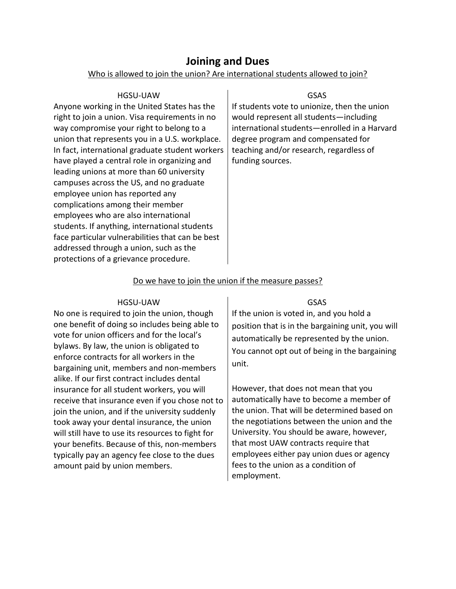## **Joining and Dues**

#### Who is allowed to join the union? Are international students allowed to join?

<span id="page-6-1"></span><span id="page-6-0"></span>

| HGSU-UAW                                         | GSAS                                         |
|--------------------------------------------------|----------------------------------------------|
| Anyone working in the United States has the      | If students vote to unionize, then the union |
| right to join a union. Visa requirements in no   | would represent all students-including       |
| way compromise your right to belong to a         | international students-enrolled in a Harvard |
| union that represents you in a U.S. workplace.   | degree program and compensated for           |
| In fact, international graduate student workers  | teaching and/or research, regardless of      |
| have played a central role in organizing and     | funding sources.                             |
| leading unions at more than 60 university        |                                              |
| campuses across the US, and no graduate          |                                              |
| employee union has reported any                  |                                              |
| complications among their member                 |                                              |
| employees who are also international             |                                              |
| students. If anything, international students    |                                              |
| face particular vulnerabilities that can be best |                                              |
| addressed through a union, such as the           |                                              |
| protections of a grievance procedure.            |                                              |

### Do we have to join the union if the measure passes?

#### HGSU-UAW

<span id="page-6-2"></span>No one is required to join the union, though one benefit of doing so includes being able to vote for union officers and for the local's bylaws. By law, the union is obligated to enforce contracts for all workers in the bargaining unit, members and non-members alike. If our first contract includes dental insurance for all student workers, you will receive that insurance even if you chose not to join the union, and if the university suddenly took away your dental insurance, the union will still have to use its resources to fight for your benefits. Because of this, non-members typically pay an agency fee close to the dues amount paid by union members.

GSAS

If the union is voted in, and you hold a position that is in the bargaining unit, you will automatically be represented by the union. You cannot opt out of being in the bargaining unit.

However, that does not mean that you automatically have to become a member of the union. That will be determined based on the negotiations between the union and the University. You should be aware, however, that most UAW contracts require that employees either pay union dues or agency fees to the union as a condition of employment.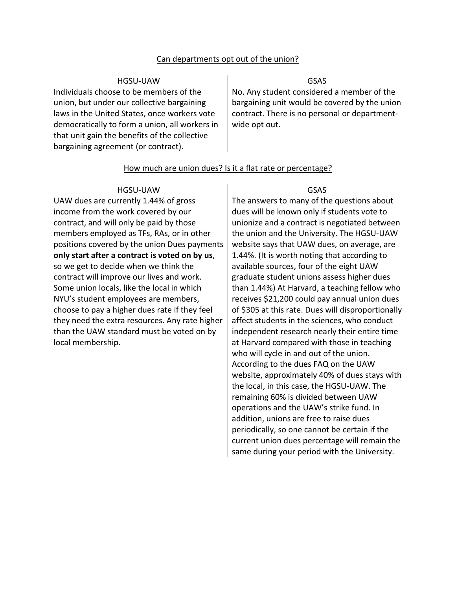#### Can departments opt out of the union?

#### HGSU-UAW

<span id="page-7-0"></span>Individuals choose to be members of the union, but under our collective bargaining laws in the United States, once workers vote democratically to form a union, all workers in that unit gain the benefits of the collective bargaining agreement (or contract).

#### GSAS

No. Any student considered a member of the bargaining unit would be covered by the union contract. There is no personal or departmentwide opt out.

#### How much are union dues? Is it a flat rate or percentage?

#### HGSU-UAW

<span id="page-7-1"></span>UAW dues are currently 1.44% of gross income from the work covered by our contract, and will only be paid by those members employed as TFs, RAs, or in other positions covered by the union Dues payments **only start after a contract is voted on by us**, so we get to decide when we think the contract will improve our lives and work. Some union locals, like the local in which NYU's student employees are members, choose to pay a higher dues rate if they feel they need the extra resources. Any rate higher than the UAW standard must be voted on by local membership.

#### GSAS

The answers to many of the questions about dues will be known only if students vote to unionize and a contract is negotiated between the union and the University. The HGSU-UAW website says that UAW dues, on average, are 1.44%. (It is worth noting that according to available sources, four of the eight UAW graduate student unions assess higher dues than 1.44%) At Harvard, a teaching fellow who receives \$21,200 could pay annual union dues of \$305 at this rate. Dues will disproportionally affect students in the sciences, who conduct independent research nearly their entire time at Harvard compared with those in teaching who will cycle in and out of the union. According to the dues FAQ on the UAW website, approximately 40% of dues stays with the local, in this case, the HGSU-UAW. The remaining 60% is divided between UAW operations and the UAW's strike fund. In addition, unions are free to raise dues periodically, so one cannot be certain if the current union dues percentage will remain the same during your period with the University.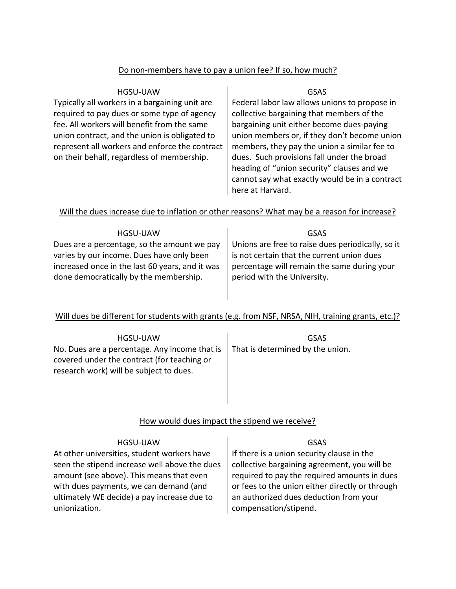### Do non-members have to pay a union fee? If so, how much?

<span id="page-8-0"></span>

| HGSU-UAW                                       | GSAS                                           |
|------------------------------------------------|------------------------------------------------|
| Typically all workers in a bargaining unit are | Federal labor law allows unions to propose in  |
| required to pay dues or some type of agency    | collective bargaining that members of the      |
| fee. All workers will benefit from the same    | bargaining unit either become dues-paying      |
| union contract, and the union is obligated to  | union members or, if they don't become union   |
| represent all workers and enforce the contract | members, they pay the union a similar fee to   |
| on their behalf, regardless of membership.     | dues. Such provisions fall under the broad     |
|                                                | heading of "union security" clauses and we     |
|                                                | cannot say what exactly would be in a contract |
|                                                | here at Harvard.                               |

## <span id="page-8-1"></span>Will the dues increase due to inflation or other reasons? What may be a reason for increase?

| <b>HGSU-UAW</b>                                                                                                                        | GSAS                                                                                                                     |
|----------------------------------------------------------------------------------------------------------------------------------------|--------------------------------------------------------------------------------------------------------------------------|
| Dues are a percentage, so the amount we pay                                                                                            | Unions are free to raise dues periodically, so it                                                                        |
| varies by our income. Dues have only been<br>increased once in the last 60 years, and it was<br>done democratically by the membership. | is not certain that the current union dues<br>percentage will remain the same during your<br>period with the University. |
|                                                                                                                                        |                                                                                                                          |

## <span id="page-8-2"></span>Will dues be different for students with grants (e.g. from NSF, NRSA, NIH, training grants, etc.)?

| HGSU-UAW<br>No. Dues are a percentage. Any income that is<br>covered under the contract (for teaching or<br>research work) will be subject to dues. | GSAS<br>That is determined by the union. |
|-----------------------------------------------------------------------------------------------------------------------------------------------------|------------------------------------------|
|                                                                                                                                                     |                                          |

## How would dues impact the stipend we receive?

<span id="page-8-3"></span>

| <b>HGSU-UAW</b>                               | GSAS                                            |
|-----------------------------------------------|-------------------------------------------------|
| At other universities, student workers have   | If there is a union security clause in the      |
| seen the stipend increase well above the dues | collective bargaining agreement, you will be    |
| amount (see above). This means that even      | required to pay the required amounts in dues    |
| with dues payments, we can demand (and        | or fees to the union either directly or through |
| ultimately WE decide) a pay increase due to   | an authorized dues deduction from your          |
| unionization.                                 | compensation/stipend.                           |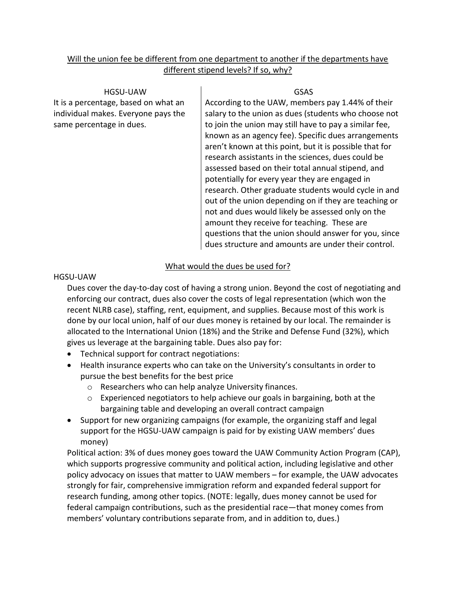## <span id="page-9-0"></span>Will the union fee be different from one department to another if the departments have different stipend levels? If so, why?

HGSU-UAW It is a percentage, based on what an individual makes. Everyone pays the same percentage in dues.

GSAS

According to the UAW, members pay 1.44% of their salary to the union as dues (students who choose not to join the union may still have to pay a similar fee, known as an agency fee). Specific dues arrangements aren't known at this point, but it is possible that for research assistants in the sciences, dues could be assessed based on their total annual stipend, and potentially for every year they are engaged in research. Other graduate students would cycle in and out of the union depending on if they are teaching or not and dues would likely be assessed only on the amount they receive for teaching. These are questions that the union should answer for you, since dues structure and amounts are under their control.

## What would the dues be used for?

## <span id="page-9-1"></span>HGSU-UAW

Dues cover the day-to-day cost of having a strong union. Beyond the cost of negotiating and enforcing our contract, dues also cover the costs of legal representation (which won the recent NLRB case), staffing, rent, equipment, and supplies. Because most of this work is done by our local union, half of our dues money is retained by our local. The remainder is allocated to the International Union (18%) and the Strike and Defense Fund (32%), which gives us leverage at the bargaining table. Dues also pay for:

- Technical support for contract negotiations:
- Health insurance experts who can take on the University's consultants in order to pursue the best benefits for the best price
	- o Researchers who can help analyze University finances.
	- $\circ$  Experienced negotiators to help achieve our goals in bargaining, both at the bargaining table and developing an overall contract campaign
- Support for new organizing campaigns (for example, the organizing staff and legal support for the HGSU-UAW campaign is paid for by existing UAW members' dues money)

Political action: 3% of dues money goes toward the UAW Community Action Program (CAP), which supports progressive community and political action, including legislative and other policy advocacy on issues that matter to UAW members – for example, the UAW advocates strongly for fair, comprehensive immigration reform and expanded federal support for research funding, among other topics. (NOTE: legally, dues money cannot be used for federal campaign contributions, such as the presidential race—that money comes from members' voluntary contributions separate from, and in addition to, dues.)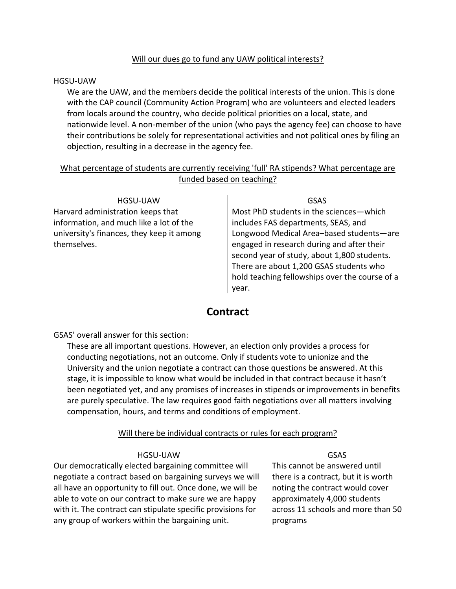## Will our dues go to fund any UAW political interests?

#### <span id="page-10-0"></span>HGSU-UAW

We are the UAW, and the members decide the political interests of the union. This is done with the CAP council (Community Action Program) who are volunteers and elected leaders from locals around the country, who decide political priorities on a local, state, and nationwide level. A non-member of the union (who pays the agency fee) can choose to have their contributions be solely for representational activities and not political ones by filing an objection, resulting in a decrease in the agency fee.

## <span id="page-10-1"></span>What percentage of students are currently receiving 'full' RA stipends? What percentage are funded based on teaching?

| HGSU-UAW                                  | GSAS                                           |  |  |  |
|-------------------------------------------|------------------------------------------------|--|--|--|
| Harvard administration keeps that         | Most PhD students in the sciences-which        |  |  |  |
| information, and much like a lot of the   | includes FAS departments, SEAS, and            |  |  |  |
| university's finances, they keep it among | Longwood Medical Area-based students-are       |  |  |  |
| themselves.                               | engaged in research during and after their     |  |  |  |
|                                           | second year of study, about 1,800 students.    |  |  |  |
|                                           | There are about 1,200 GSAS students who        |  |  |  |
|                                           | hold teaching fellowships over the course of a |  |  |  |
|                                           |                                                |  |  |  |

## **Contract**

year.

<span id="page-10-2"></span>GSAS' overall answer for this section:

These are all important questions. However, an election only provides a process for conducting negotiations, not an outcome. Only if students vote to unionize and the University and the union negotiate a contract can those questions be answered. At this stage, it is impossible to know what would be included in that contract because it hasn't been negotiated yet, and any promises of increases in stipends or improvements in benefits are purely speculative. The law requires good faith negotiations over all matters involving compensation, hours, and terms and conditions of employment.

## Will there be individual contracts or rules for each program?

#### HGSU-UAW

<span id="page-10-3"></span>Our democratically elected bargaining committee will negotiate a contract based on bargaining surveys we will all have an opportunity to fill out. Once done, we will be able to vote on our contract to make sure we are happy with it. The contract can stipulate specific provisions for any group of workers within the bargaining unit.

GSAS This cannot be answered until there is a contract, but it is worth noting the contract would cover approximately 4,000 students across 11 schools and more than 50 programs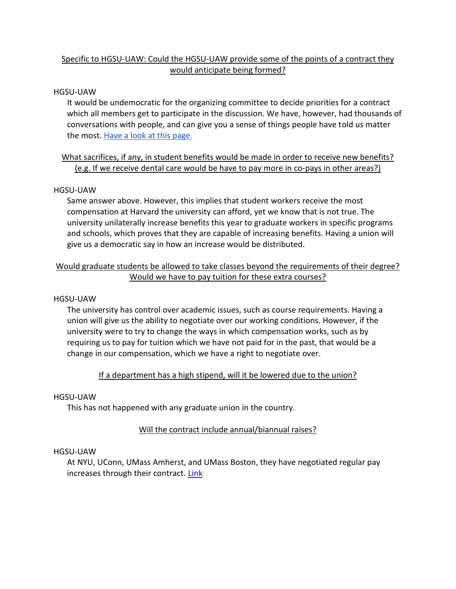## <span id="page-11-0"></span>Specific to HGSU-UAW: Could the HGSU-UAW provide some of the points of a contract they would anticipate being formed?

#### HGSU-UAW

It would be undemocratic for the organizing committee to decide priorities for a contract which all members get to participate in the discussion. We have, however, had thousands of conversations with people, and can give you a sense of things people have told us matter the most. [Have a look at this page.](http://harvardgradunion.org/working-for-a-healthy-harvard/)

## <span id="page-11-1"></span>What sacrifices, if any, in student benefits would be made in order to receive new benefits? (e.g. If we receive dental care would be have to pay more in co-pays in other areas?)

#### HGSU-UAW

Same answer above. However, this implies that student workers receive the most compensation at Harvard the university can afford, yet we know that is not true. The university unilaterally increase benefits this year to graduate workers in specific programs and schools, which proves that they are capable of increasing benefits. Having a union will give us a democratic say in how an increase would be distributed.

## <span id="page-11-2"></span>Would graduate students be allowed to take classes beyond the requirements of their degree? Would we have to pay tuition for these extra courses?

#### HGSU-UAW

The university has control over academic issues, such as course requirements. Having a union will give us the ability to negotiate over our working conditions. However, if the university were to try to change the ways in which compensation works, such as by requiring us to pay for tuition which we have not paid for in the past, that would be a change in our compensation, which we have a right to negotiate over.

## <span id="page-11-3"></span>If a department has a high stipend, will it be lowered due to the union?

#### HGSU-UAW

This has not happened with any graduate union in the country.

## Will the contract include annual/biannual raises?

#### <span id="page-11-4"></span>HGSU-UAW

At NYU, UConn, UMass Amherst, and UMass Boston, they have negotiated regular pay increases through their contract. [Link](https://l.facebook.com/l.php?u=https%3A%2F%2Ffactsgsu.wordpress.com%2Fsix-arguments%2F&h=yAQGdD0mE)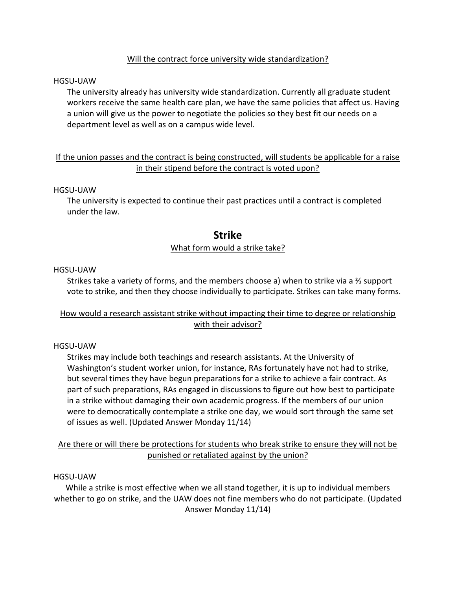## Will the contract force university wide standardization?

#### <span id="page-12-0"></span>HGSU-UAW

The university already has university wide standardization. Currently all graduate student workers receive the same health care plan, we have the same policies that affect us. Having a union will give us the power to negotiate the policies so they best fit our needs on a department level as well as on a campus wide level.

## <span id="page-12-1"></span>If the union passes and the contract is being constructed, will students be applicable for a raise in their stipend before the contract is voted upon?

#### HGSU-UAW

<span id="page-12-2"></span>The university is expected to continue their past practices until a contract is completed under the law.

## **Strike**

#### What form would a strike take?

#### <span id="page-12-3"></span>HGSU-UAW

Strikes take a variety of forms, and the members choose a) when to strike via a ⅔ support vote to strike, and then they choose individually to participate. Strikes can take many forms.

## <span id="page-12-4"></span>How would a research assistant strike without impacting their time to degree or relationship with their advisor?

#### HGSU-UAW

Strikes may include both teachings and research assistants. At the University of Washington's student worker union, for instance, RAs fortunately have not had to strike, but several times they have begun preparations for a strike to achieve a fair contract. As part of such preparations, RAs engaged in discussions to figure out how best to participate in a strike without damaging their own academic progress. If the members of our union were to democratically contemplate a strike one day, we would sort through the same set of issues as well. (Updated Answer Monday 11/14)

<span id="page-12-5"></span>Are there or will there be protections for students who break strike to ensure they will not be punished or retaliated against by the union?

#### HGSU-UAW

<span id="page-12-6"></span>While a strike is most effective when we all stand together, it is up to individual members whether to go on strike, and the UAW does not fine members who do not participate. (Updated Answer Monday 11/14)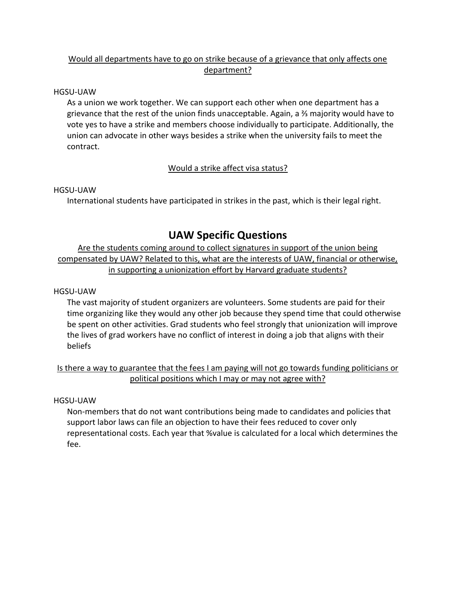## Would all departments have to go on strike because of a grievance that only affects one department?

#### HGSU-UAW

As a union we work together. We can support each other when one department has a grievance that the rest of the union finds unacceptable. Again, a ⅔ majority would have to vote yes to have a strike and members choose individually to participate. Additionally, the union can advocate in other ways besides a strike when the university fails to meet the contract.

## Would a strike affect visa status?

#### <span id="page-13-0"></span>HGSU-UAW

International students have participated in strikes in the past, which is their legal right.

## **UAW Specific Questions**

<span id="page-13-2"></span><span id="page-13-1"></span>Are the students coming around to collect signatures in support of the union being compensated by UAW? Related to this, what are the interests of UAW, financial or otherwise, in supporting a unionization effort by Harvard graduate students?

#### HGSU-UAW

The vast majority of student organizers are volunteers. Some students are paid for their time organizing like they would any other job because they spend time that could otherwise be spent on other activities. Grad students who feel strongly that unionization will improve the lives of grad workers have no conflict of interest in doing a job that aligns with their beliefs

## <span id="page-13-3"></span>Is there a way to guarantee that the fees I am paying will not go towards funding politicians or political positions which I may or may not agree with?

#### HGSU-UAW

Non-members that do not want contributions being made to candidates and policies that support labor laws can file an objection to have their fees reduced to cover only representational costs. Each year that %value is calculated for a local which determines the fee.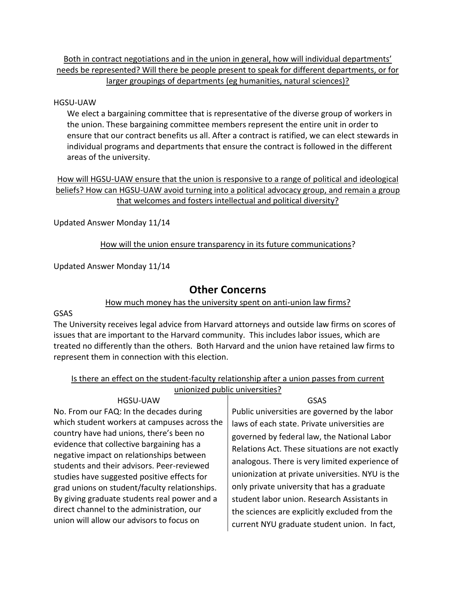## <span id="page-14-0"></span>Both in contract negotiations and in the union in general, how will individual departments' needs be represented? Will there be people present to speak for different departments, or for larger groupings of departments (eg humanities, natural sciences)?

#### HGSU-UAW

We elect a bargaining committee that is representative of the diverse group of workers in the union. These bargaining committee members represent the entire unit in order to ensure that our contract benefits us all. After a contract is ratified, we can elect stewards in individual programs and departments that ensure the contract is followed in the different areas of the university.

<span id="page-14-1"></span>How will HGSU-UAW ensure that the union is responsive to a range of political and ideological beliefs? How can HGSU-UAW avoid turning into a political advocacy group, and remain a group that welcomes and fosters intellectual and political diversity?

<span id="page-14-2"></span>Updated Answer Monday 11/14

How will the union ensure transparency in its future communications?

<span id="page-14-3"></span>Updated Answer Monday 11/14

## **Other Concerns**

## How much money has the university spent on anti-union law firms?

#### <span id="page-14-4"></span>GSAS

The University receives legal advice from Harvard attorneys and outside law firms on scores of issues that are important to the Harvard community. This includes labor issues, which are treated no differently than the others. Both Harvard and the union have retained law firms to represent them in connection with this election.

<span id="page-14-5"></span>

| Is there an effect on the student-faculty relationship after a union passes from current |  |  |  |  |
|------------------------------------------------------------------------------------------|--|--|--|--|
| unionized public universities?                                                           |  |  |  |  |

HGSU-UAW No. From our FAQ: In the decades during which student workers at campuses across the country have had unions, there's been no evidence that collective bargaining has a negative impact on relationships between students and their advisors. Peer-reviewed studies have suggested positive effects for grad unions on student/faculty relationships. By giving graduate students real power and a direct channel to the administration, our union will allow our advisors to focus on

GSAS

Public universities are governed by the labor laws of each state. Private universities are governed by federal law, the National Labor Relations Act. These situations are not exactly analogous. There is very limited experience of unionization at private universities. NYU is the only private university that has a graduate student labor union. Research Assistants in the sciences are explicitly excluded from the current NYU graduate student union. In fact,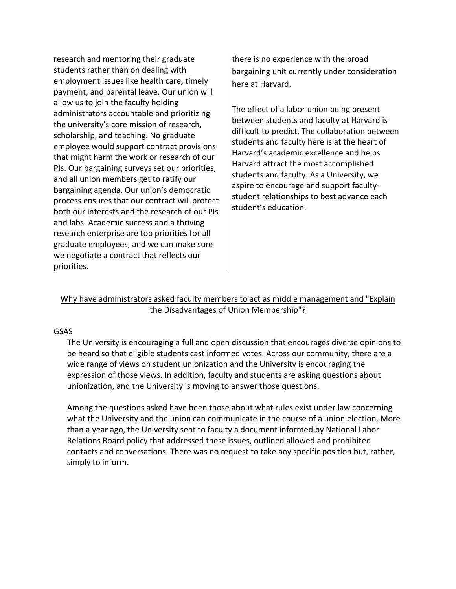research and mentoring their graduate students rather than on dealing with employment issues like health care, timely payment, and parental leave. Our union will allow us to join the faculty holding administrators accountable and prioritizing the university's core mission of research, scholarship, and teaching. No graduate employee would support contract provisions that might harm the work or research of our PIs. Our bargaining surveys set our priorities, and all union members get to ratify our bargaining agenda. Our union's democratic process ensures that our contract will protect both our interests and the research of our PIs and labs. Academic success and a thriving research enterprise are top priorities for all graduate employees, and we can make sure we negotiate a contract that reflects our priorities.

there is no experience with the broad bargaining unit currently under consideration here at Harvard.

The effect of a labor union being present between students and faculty at Harvard is difficult to predict. The collaboration between students and faculty here is at the heart of Harvard's academic excellence and helps Harvard attract the most accomplished students and faculty. As a University, we aspire to encourage and support facultystudent relationships to best advance each student's education.

## <span id="page-15-0"></span>Why have administrators asked faculty members to act as middle management and "Explain the Disadvantages of Union Membership"?

#### GSAS

The University is encouraging a full and open discussion that encourages diverse opinions to be heard so that eligible students cast informed votes. Across our community, there are a wide range of views on student unionization and the University is encouraging the expression of those views. In addition, faculty and students are asking questions about unionization, and the University is moving to answer those questions.

Among the questions asked have been those about what rules exist under law concerning what the University and the union can communicate in the course of a union election. More than a year ago, the University sent to faculty a document informed by National Labor Relations Board policy that addressed these issues, outlined allowed and prohibited contacts and conversations. There was no request to take any specific position but, rather, simply to inform.